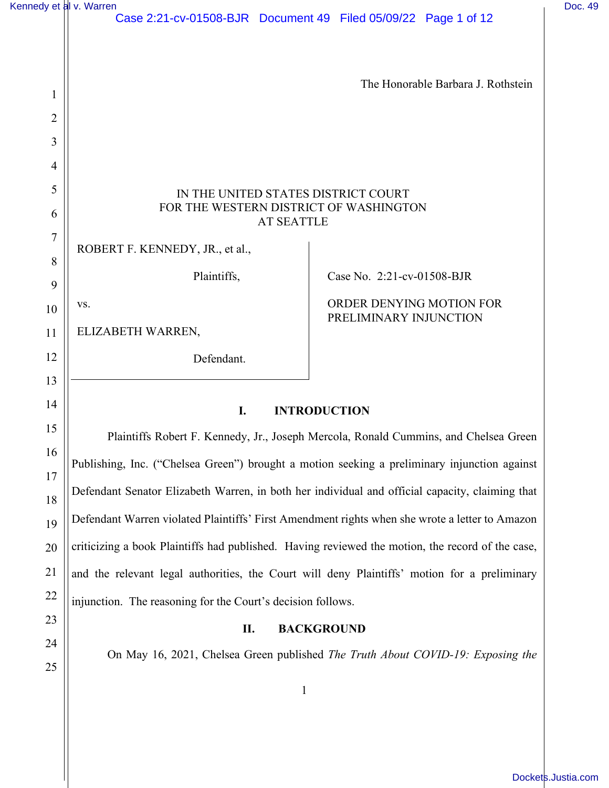| Kennedy et al v. Warren |                                                                                                    |                                                                                 | Doc. 49 |
|-------------------------|----------------------------------------------------------------------------------------------------|---------------------------------------------------------------------------------|---------|
|                         | Case 2:21-cv-01508-BJR Document 49 Filed 05/09/22 Page 1 of 12                                     |                                                                                 |         |
|                         |                                                                                                    |                                                                                 |         |
|                         |                                                                                                    | The Honorable Barbara J. Rothstein                                              |         |
| 1                       |                                                                                                    |                                                                                 |         |
| $\overline{2}$          |                                                                                                    |                                                                                 |         |
| 3                       |                                                                                                    |                                                                                 |         |
| 4<br>5                  |                                                                                                    |                                                                                 |         |
| 6                       | IN THE UNITED STATES DISTRICT COURT<br>FOR THE WESTERN DISTRICT OF WASHINGTON<br><b>AT SEATTLE</b> |                                                                                 |         |
| $\tau$                  |                                                                                                    |                                                                                 |         |
| 8                       | ROBERT F. KENNEDY, JR., et al.,                                                                    |                                                                                 |         |
| 9                       | Plaintiffs,                                                                                        | Case No. 2:21-cv-01508-BJR                                                      |         |
| 10                      | VS.                                                                                                | ORDER DENYING MOTION FOR                                                        |         |
| 11                      | ELIZABETH WARREN,                                                                                  | PRELIMINARY INJUNCTION                                                          |         |
| 12                      | Defendant.                                                                                         |                                                                                 |         |
| 13                      |                                                                                                    |                                                                                 |         |
| 14                      | I.<br><b>INTRODUCTION</b>                                                                          |                                                                                 |         |
| 15                      | Plaintiffs Robert F. Kennedy, Jr., Joseph Mercola, Ronald Cummins, and Chelsea Green               |                                                                                 |         |
| 16                      | Publishing, Inc. ("Chelsea Green") brought a motion seeking a preliminary injunction against       |                                                                                 |         |
| 17                      | Defendant Senator Elizabeth Warren, in both her individual and official capacity, claiming that    |                                                                                 |         |
| 18                      |                                                                                                    |                                                                                 |         |
| 19                      | Defendant Warren violated Plaintiffs' First Amendment rights when she wrote a letter to Amazon     |                                                                                 |         |
| 20                      | criticizing a book Plaintiffs had published. Having reviewed the motion, the record of the case,   |                                                                                 |         |
| 21                      | and the relevant legal authorities, the Court will deny Plaintiffs' motion for a preliminary       |                                                                                 |         |
| 22                      | injunction. The reasoning for the Court's decision follows.                                        |                                                                                 |         |
| 23                      | <b>BACKGROUND</b><br>П.                                                                            |                                                                                 |         |
| 24                      |                                                                                                    | On May 16, 2021, Chelsea Green published The Truth About COVID-19: Exposing the |         |
| 25                      |                                                                                                    |                                                                                 |         |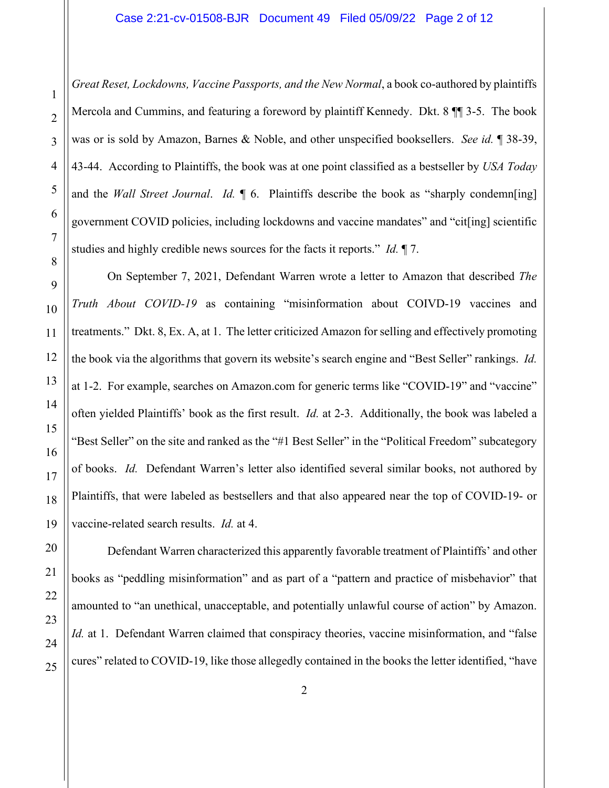*Great Reset, Lockdowns, Vaccine Passports, and the New Normal*, a book co-authored by plaintiffs Mercola and Cummins, and featuring a foreword by plaintiff Kennedy. Dkt. 8 ¶¶ 3-5. The book was or is sold by Amazon, Barnes & Noble, and other unspecified booksellers. *See id.* ¶ 38-39, 43-44. According to Plaintiffs, the book was at one point classified as a bestseller by *USA Today*  and the *Wall Street Journal*. *Id.* ¶ 6. Plaintiffs describe the book as "sharply condemn[ing] government COVID policies, including lockdowns and vaccine mandates" and "cit[ing] scientific studies and highly credible news sources for the facts it reports." *Id.* ¶ 7.

On September 7, 2021, Defendant Warren wrote a letter to Amazon that described *The Truth About COVID-19* as containing "misinformation about COIVD-19 vaccines and treatments." Dkt. 8, Ex. A, at 1. The letter criticized Amazon for selling and effectively promoting the book via the algorithms that govern its website's search engine and "Best Seller" rankings. *Id.* at 1-2. For example, searches on Amazon.com for generic terms like "COVID-19" and "vaccine" often yielded Plaintiffs' book as the first result. *Id.* at 2-3. Additionally, the book was labeled a "Best Seller" on the site and ranked as the "#1 Best Seller" in the "Political Freedom" subcategory of books. *Id.* Defendant Warren's letter also identified several similar books, not authored by Plaintiffs, that were labeled as bestsellers and that also appeared near the top of COVID-19- or vaccine-related search results. *Id.* at 4.

Defendant Warren characterized this apparently favorable treatment of Plaintiffs' and other books as "peddling misinformation" and as part of a "pattern and practice of misbehavior" that amounted to "an unethical, unacceptable, and potentially unlawful course of action" by Amazon. *Id.* at 1. Defendant Warren claimed that conspiracy theories, vaccine misinformation, and "false cures" related to COVID-19, like those allegedly contained in the books the letter identified, "have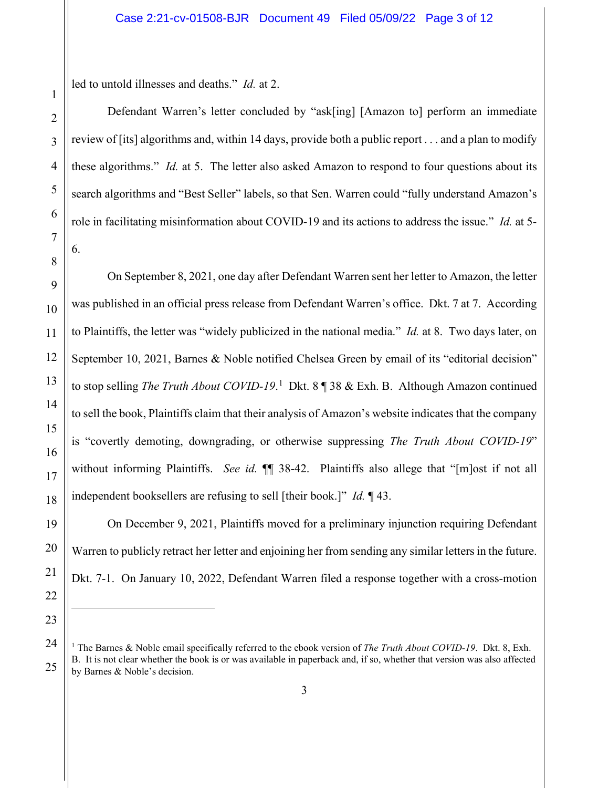led to untold illnesses and deaths." *Id.* at 2.

Defendant Warren's letter concluded by "ask[ing] [Amazon to] perform an immediate review of [its] algorithms and, within 14 days, provide both a public report . . . and a plan to modify these algorithms." *Id.* at 5. The letter also asked Amazon to respond to four questions about its search algorithms and "Best Seller" labels, so that Sen. Warren could "fully understand Amazon's role in facilitating misinformation about COVID-19 and its actions to address the issue." *Id.* at 5- 6.

On September 8, 2021, one day after Defendant Warren sent her letter to Amazon, the letter was published in an official press release from Defendant Warren's office. Dkt. 7 at 7. According to Plaintiffs, the letter was "widely publicized in the national media." *Id.* at 8. Two days later, on September 10, 2021, Barnes & Noble notified Chelsea Green by email of its "editorial decision" to stop selling *The Truth About COVID-[1](#page-2-0)9*.<sup>1</sup> Dkt. 8 | 38 & Exh. B. Although Amazon continued to sell the book, Plaintiffs claim that their analysis of Amazon's website indicates that the company is "covertly demoting, downgrading, or otherwise suppressing *The Truth About COVID-19*" without informing Plaintiffs. *See id.*  $\P$  38-42. Plaintiffs also allege that "[m]ost if not all independent booksellers are refusing to sell [their book.]" *Id.* ¶ 43.

On December 9, 2021, Plaintiffs moved for a preliminary injunction requiring Defendant Warren to publicly retract her letter and enjoining her from sending any similar letters in the future. Dkt. 7-1. On January 10, 2022, Defendant Warren filed a response together with a cross-motion

<span id="page-2-0"></span><sup>1</sup> The Barnes & Noble email specifically referred to the ebook version of *The Truth About COVID-19*. Dkt. 8, Exh. B. It is not clear whether the book is or was available in paperback and, if so, whether that version was also affected by Barnes & Noble's decision.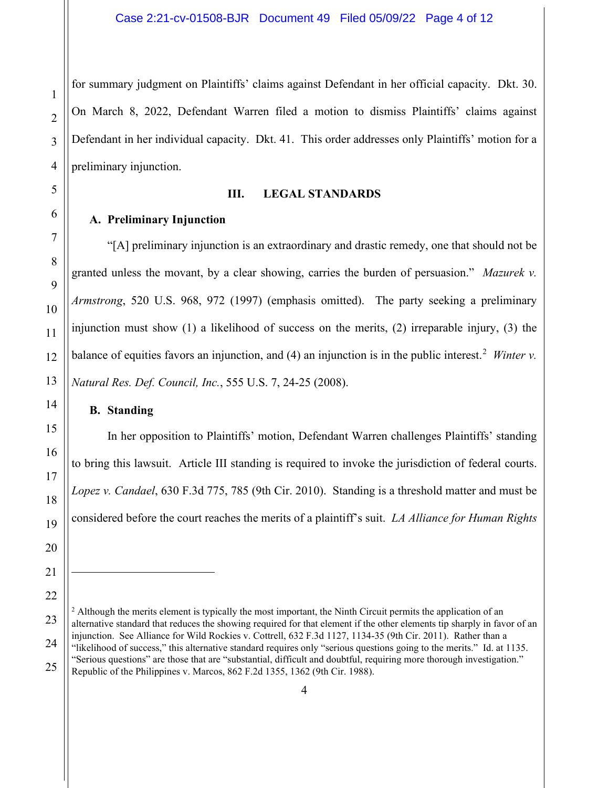for summary judgment on Plaintiffs' claims against Defendant in her official capacity. Dkt. 30. On March 8, 2022, Defendant Warren filed a motion to dismiss Plaintiffs' claims against Defendant in her individual capacity. Dkt. 41. This order addresses only Plaintiffs' motion for a preliminary injunction.

## **III. LEGAL STANDARDS**

## **A. Preliminary Injunction**

"[A] preliminary injunction is an extraordinary and drastic remedy, one that should not be granted unless the movant, by a clear showing, carries the burden of persuasion." *Mazurek v. Armstrong*, 520 U.S. 968, 972 (1997) (emphasis omitted). The party seeking a preliminary injunction must show (1) a likelihood of success on the merits, (2) irreparable injury, (3) the balance of equities favors an injunction, and  $(4)$  an injunction is in the public interest.<sup>[2](#page-3-0)</sup> *Winter v. Natural Res. Def. Council, Inc.*, 555 U.S. 7, 24-25 (2008).

# **B. Standing**

In her opposition to Plaintiffs' motion, Defendant Warren challenges Plaintiffs' standing to bring this lawsuit. Article III standing is required to invoke the jurisdiction of federal courts. *Lopez v. Candael*, 630 F.3d 775, 785 (9th Cir. 2010). Standing is a threshold matter and must be considered before the court reaches the merits of a plaintiff's suit. *LA Alliance for Human Rights* 

<span id="page-3-0"></span> $2$  Although the merits element is typically the most important, the Ninth Circuit permits the application of an alternative standard that reduces the showing required for that element if the other elements tip sharply in favor of an injunction. See Alliance for Wild Rockies v. Cottrell, 632 F.3d 1127, 1134-35 (9th Cir. 2011). Rather than a "likelihood of success," this alternative standard requires only "serious questions going to the merits." Id. at 1135. "Serious questions" are those that are "substantial, difficult and doubtful, requiring more thorough investigation." Republic of the Philippines v. Marcos, 862 F.2d 1355, 1362 (9th Cir. 1988).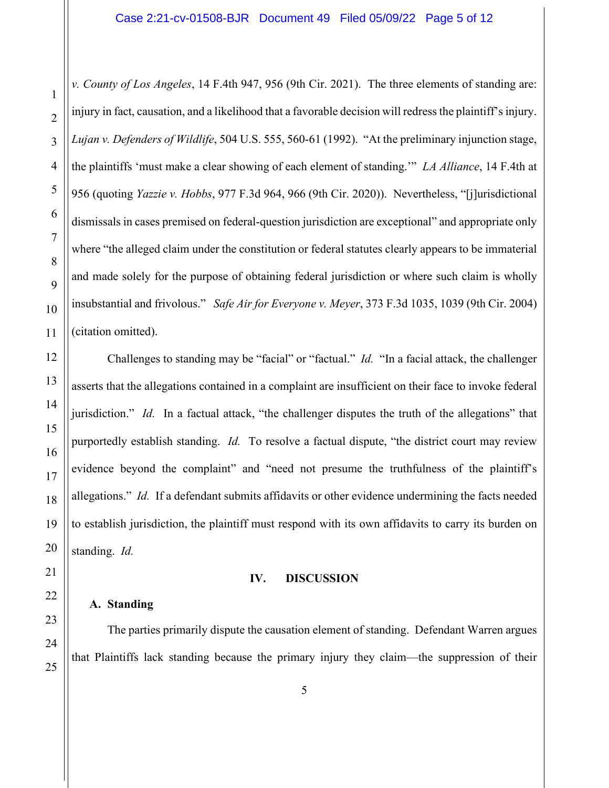*v. County of Los Angeles*, 14 F.4th 947, 956 (9th Cir. 2021). The three elements of standing are: injury in fact, causation, and a likelihood that a favorable decision will redress the plaintiff's injury. *Lujan v. Defenders of Wildlife*, 504 U.S. 555, 560-61 (1992). "At the preliminary injunction stage, the plaintiffs 'must make a clear showing of each element of standing.'" *LA Alliance*, 14 F.4th at 956 (quoting *Yazzie v. Hobbs*, 977 F.3d 964, 966 (9th Cir. 2020)). Nevertheless, "[j]urisdictional dismissals in cases premised on federal-question jurisdiction are exceptional" and appropriate only where "the alleged claim under the constitution or federal statutes clearly appears to be immaterial and made solely for the purpose of obtaining federal jurisdiction or where such claim is wholly insubstantial and frivolous." *Safe Air for Everyone v. Meyer*, 373 F.3d 1035, 1039 (9th Cir. 2004) (citation omitted).

Challenges to standing may be "facial" or "factual." *Id.* "In a facial attack, the challenger asserts that the allegations contained in a complaint are insufficient on their face to invoke federal jurisdiction." *Id.* In a factual attack, "the challenger disputes the truth of the allegations" that purportedly establish standing. *Id.* To resolve a factual dispute, "the district court may review evidence beyond the complaint" and "need not presume the truthfulness of the plaintiff's allegations." *Id.* If a defendant submits affidavits or other evidence undermining the facts needed to establish jurisdiction, the plaintiff must respond with its own affidavits to carry its burden on standing. *Id.*

#### **IV. DISCUSSION**

## **A. Standing**

The parties primarily dispute the causation element of standing. Defendant Warren argues that Plaintiffs lack standing because the primary injury they claim—the suppression of their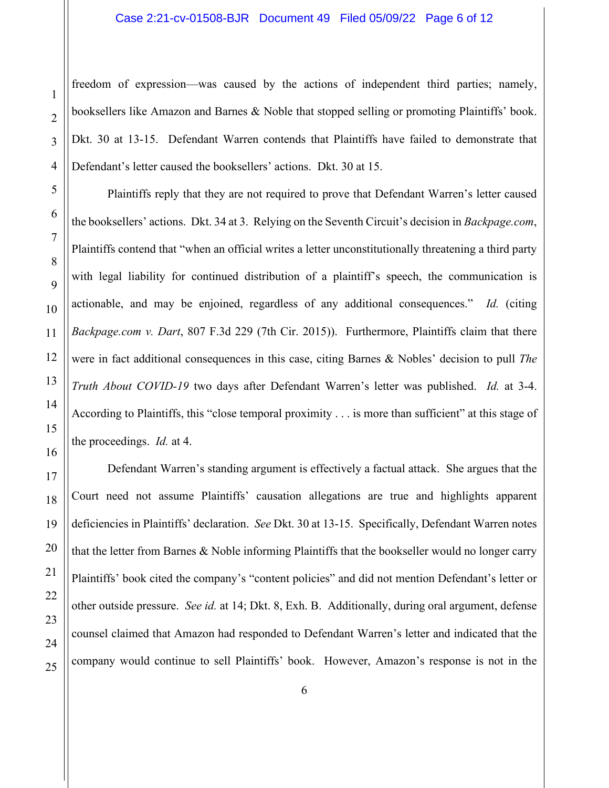freedom of expression—was caused by the actions of independent third parties; namely, booksellers like Amazon and Barnes & Noble that stopped selling or promoting Plaintiffs' book. Dkt. 30 at 13-15. Defendant Warren contends that Plaintiffs have failed to demonstrate that Defendant's letter caused the booksellers' actions. Dkt. 30 at 15.

Plaintiffs reply that they are not required to prove that Defendant Warren's letter caused the booksellers' actions. Dkt. 34 at 3. Relying on the Seventh Circuit's decision in *Backpage.com*, Plaintiffs contend that "when an official writes a letter unconstitutionally threatening a third party with legal liability for continued distribution of a plaintiff's speech, the communication is actionable, and may be enjoined, regardless of any additional consequences." *Id.* (citing *Backpage.com v. Dart*, 807 F.3d 229 (7th Cir. 2015)). Furthermore, Plaintiffs claim that there were in fact additional consequences in this case, citing Barnes & Nobles' decision to pull *The Truth About COVID-19* two days after Defendant Warren's letter was published. *Id.* at 3-4. According to Plaintiffs, this "close temporal proximity . . . is more than sufficient" at this stage of the proceedings. *Id.* at 4.

Defendant Warren's standing argument is effectively a factual attack. She argues that the Court need not assume Plaintiffs' causation allegations are true and highlights apparent deficiencies in Plaintiffs' declaration. *See* Dkt. 30 at 13-15. Specifically, Defendant Warren notes that the letter from Barnes & Noble informing Plaintiffs that the bookseller would no longer carry Plaintiffs' book cited the company's "content policies" and did not mention Defendant's letter or other outside pressure. *See id.* at 14; Dkt. 8, Exh. B. Additionally, during oral argument, defense counsel claimed that Amazon had responded to Defendant Warren's letter and indicated that the company would continue to sell Plaintiffs' book. However, Amazon's response is not in the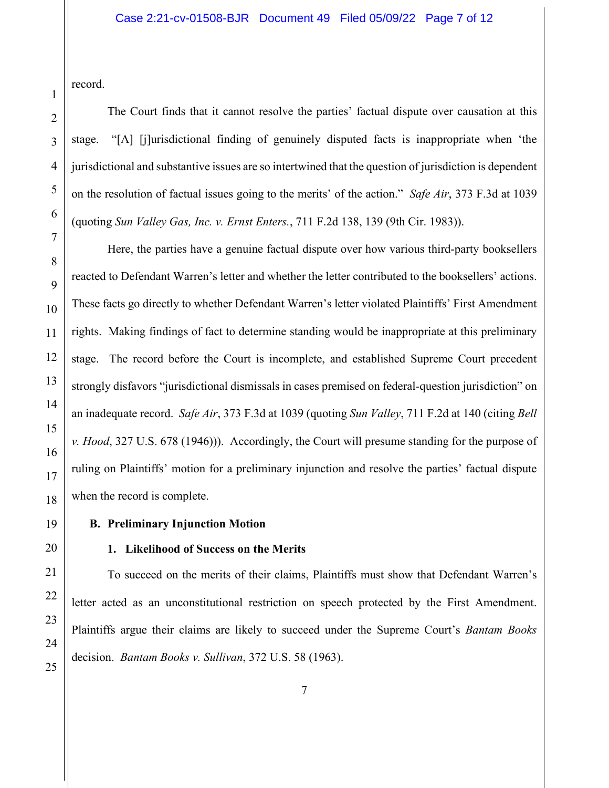record.

The Court finds that it cannot resolve the parties' factual dispute over causation at this stage. "[A] [j]urisdictional finding of genuinely disputed facts is inappropriate when 'the jurisdictional and substantive issues are so intertwined that the question of jurisdiction is dependent on the resolution of factual issues going to the merits' of the action." *Safe Air*, 373 F.3d at 1039 (quoting *Sun Valley Gas, Inc. v. Ernst Enters.*, 711 F.2d 138, 139 (9th Cir. 1983)).

Here, the parties have a genuine factual dispute over how various third-party booksellers reacted to Defendant Warren's letter and whether the letter contributed to the booksellers' actions. These facts go directly to whether Defendant Warren's letter violated Plaintiffs' First Amendment rights. Making findings of fact to determine standing would be inappropriate at this preliminary stage. The record before the Court is incomplete, and established Supreme Court precedent strongly disfavors "jurisdictional dismissals in cases premised on federal-question jurisdiction" on an inadequate record. *Safe Air*, 373 F.3d at 1039 (quoting *Sun Valley*, 711 F.2d at 140 (citing *Bell v. Hood*, 327 U.S. 678 (1946))). Accordingly, the Court will presume standing for the purpose of ruling on Plaintiffs' motion for a preliminary injunction and resolve the parties' factual dispute when the record is complete.

## **B. Preliminary Injunction Motion**

## **1. Likelihood of Success on the Merits**

To succeed on the merits of their claims, Plaintiffs must show that Defendant Warren's letter acted as an unconstitutional restriction on speech protected by the First Amendment. Plaintiffs argue their claims are likely to succeed under the Supreme Court's *Bantam Books* decision. *Bantam Books v. Sullivan*, 372 U.S. 58 (1963).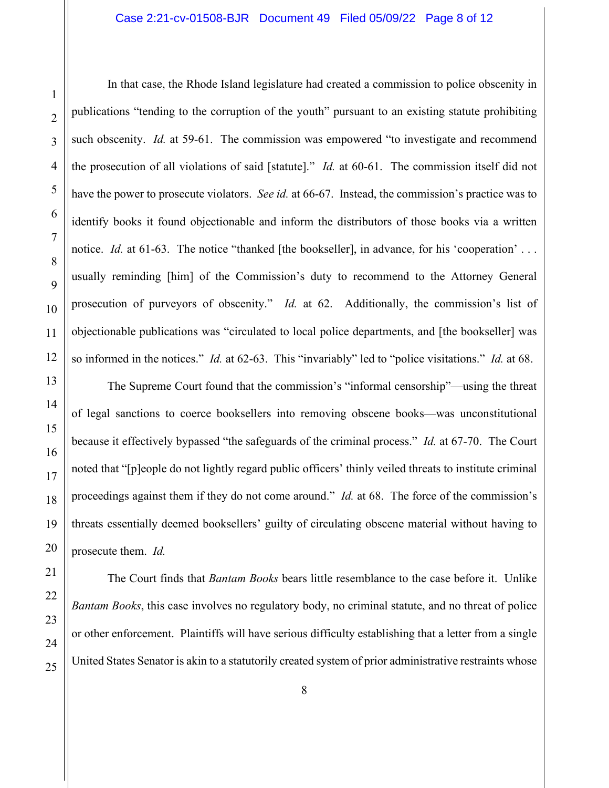In that case, the Rhode Island legislature had created a commission to police obscenity in publications "tending to the corruption of the youth" pursuant to an existing statute prohibiting such obscenity. *Id.* at 59-61. The commission was empowered "to investigate and recommend the prosecution of all violations of said [statute]." *Id.* at 60-61. The commission itself did not have the power to prosecute violators. *See id.* at 66-67. Instead, the commission's practice was to identify books it found objectionable and inform the distributors of those books via a written notice. *Id.* at 61-63. The notice "thanked [the bookseller], in advance, for his 'cooperation' ... usually reminding [him] of the Commission's duty to recommend to the Attorney General prosecution of purveyors of obscenity." *Id.* at 62. Additionally, the commission's list of objectionable publications was "circulated to local police departments, and [the bookseller] was so informed in the notices." *Id.* at 62-63. This "invariably" led to "police visitations." *Id.* at 68.

The Supreme Court found that the commission's "informal censorship"—using the threat of legal sanctions to coerce booksellers into removing obscene books—was unconstitutional because it effectively bypassed "the safeguards of the criminal process." *Id.* at 67-70. The Court noted that "[p]eople do not lightly regard public officers' thinly veiled threats to institute criminal proceedings against them if they do not come around." *Id.* at 68. The force of the commission's threats essentially deemed booksellers' guilty of circulating obscene material without having to prosecute them. *Id.*

The Court finds that *Bantam Books* bears little resemblance to the case before it. Unlike *Bantam Books*, this case involves no regulatory body, no criminal statute, and no threat of police or other enforcement. Plaintiffs will have serious difficulty establishing that a letter from a single United States Senator is akin to a statutorily created system of prior administrative restraints whose

1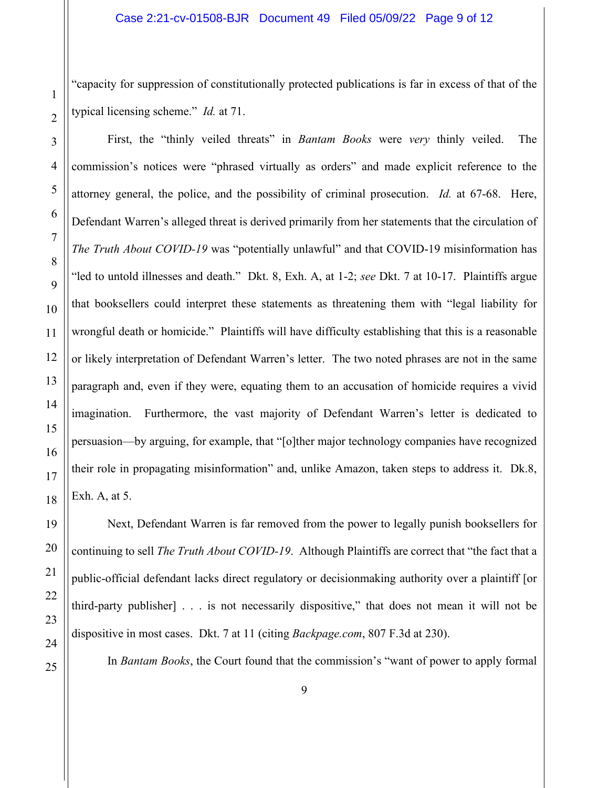"capacity for suppression of constitutionally protected publications is far in excess of that of the typical licensing scheme." *Id.* at 71.

First, the "thinly veiled threats" in *Bantam Books* were *very* thinly veiled. The commission's notices were "phrased virtually as orders" and made explicit reference to the attorney general, the police, and the possibility of criminal prosecution. *Id.* at 67-68. Here, Defendant Warren's alleged threat is derived primarily from her statements that the circulation of *The Truth About COVID-19* was "potentially unlawful" and that COVID-19 misinformation has "led to untold illnesses and death." Dkt. 8, Exh. A, at 1-2; *see* Dkt. 7 at 10-17. Plaintiffs argue that booksellers could interpret these statements as threatening them with "legal liability for wrongful death or homicide." Plaintiffs will have difficulty establishing that this is a reasonable or likely interpretation of Defendant Warren's letter. The two noted phrases are not in the same paragraph and, even if they were, equating them to an accusation of homicide requires a vivid imagination. Furthermore, the vast majority of Defendant Warren's letter is dedicated to persuasion—by arguing, for example, that "[o]ther major technology companies have recognized their role in propagating misinformation" and, unlike Amazon, taken steps to address it. Dk.8, Exh. A, at 5.

Next, Defendant Warren is far removed from the power to legally punish booksellers for continuing to sell *The Truth About COVID-19*. Although Plaintiffs are correct that "the fact that a public-official defendant lacks direct regulatory or decisionmaking authority over a plaintiff [or third-party publisher] . . . is not necessarily dispositive," that does not mean it will not be dispositive in most cases. Dkt. 7 at 11 (citing *Backpage.com*, 807 F.3d at 230).

In *Bantam Books*, the Court found that the commission's "want of power to apply formal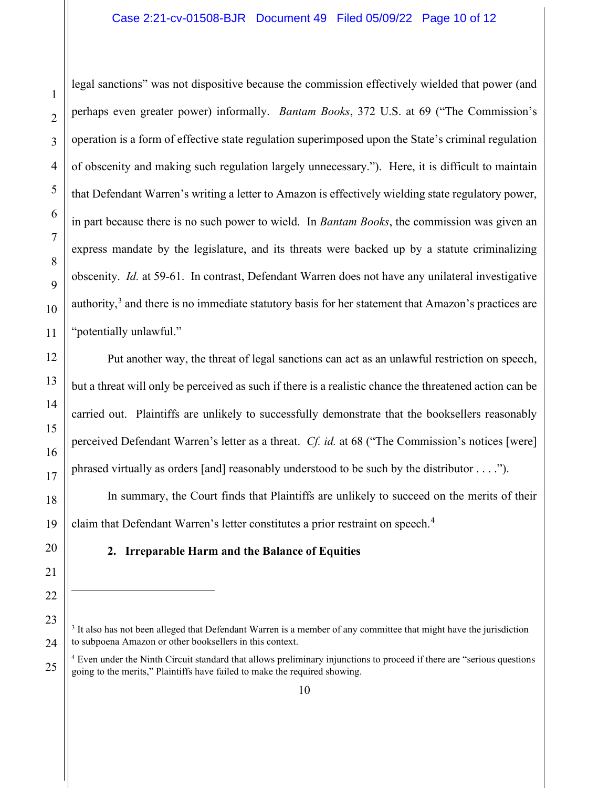legal sanctions" was not dispositive because the commission effectively wielded that power (and perhaps even greater power) informally. *Bantam Books*, 372 U.S. at 69 ("The Commission's operation is a form of effective state regulation superimposed upon the State's criminal regulation of obscenity and making such regulation largely unnecessary."). Here, it is difficult to maintain that Defendant Warren's writing a letter to Amazon is effectively wielding state regulatory power, in part because there is no such power to wield. In *Bantam Books*, the commission was given an express mandate by the legislature, and its threats were backed up by a statute criminalizing obscenity. *Id.* at 59-61. In contrast, Defendant Warren does not have any unilateral investigative authority, $3$  and there is no immediate statutory basis for her statement that Amazon's practices are "potentially unlawful."

Put another way, the threat of legal sanctions can act as an unlawful restriction on speech, but a threat will only be perceived as such if there is a realistic chance the threatened action can be carried out. Plaintiffs are unlikely to successfully demonstrate that the booksellers reasonably perceived Defendant Warren's letter as a threat. *Cf. id.* at 68 ("The Commission's notices [were] phrased virtually as orders [and] reasonably understood to be such by the distributor . . . .").

In summary, the Court finds that Plaintiffs are unlikely to succeed on the merits of their claim that Defendant Warren's letter constitutes a prior restraint on speech. [4](#page-9-1)

## **2. Irreparable Harm and the Balance of Equities**

1

<span id="page-9-0"></span><sup>&</sup>lt;sup>3</sup> It also has not been alleged that Defendant Warren is a member of any committee that might have the jurisdiction to subpoena Amazon or other booksellers in this context.

<span id="page-9-1"></span><sup>&</sup>lt;sup>4</sup> Even under the Ninth Circuit standard that allows preliminary injunctions to proceed if there are "serious questions" going to the merits," Plaintiffs have failed to make the required showing.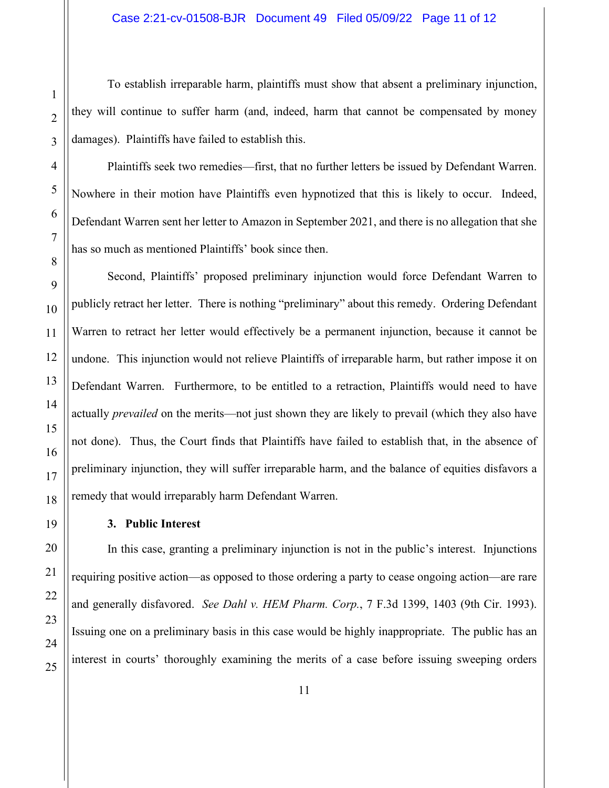To establish irreparable harm, plaintiffs must show that absent a preliminary injunction, they will continue to suffer harm (and, indeed, harm that cannot be compensated by money damages). Plaintiffs have failed to establish this.

Plaintiffs seek two remedies—first, that no further letters be issued by Defendant Warren. Nowhere in their motion have Plaintiffs even hypnotized that this is likely to occur. Indeed, Defendant Warren sent her letter to Amazon in September 2021, and there is no allegation that she has so much as mentioned Plaintiffs' book since then.

Second, Plaintiffs' proposed preliminary injunction would force Defendant Warren to publicly retract her letter. There is nothing "preliminary" about this remedy. Ordering Defendant Warren to retract her letter would effectively be a permanent injunction, because it cannot be undone. This injunction would not relieve Plaintiffs of irreparable harm, but rather impose it on Defendant Warren. Furthermore, to be entitled to a retraction, Plaintiffs would need to have actually *prevailed* on the merits—not just shown they are likely to prevail (which they also have not done). Thus, the Court finds that Plaintiffs have failed to establish that, in the absence of preliminary injunction, they will suffer irreparable harm, and the balance of equities disfavors a remedy that would irreparably harm Defendant Warren.

## **3. Public Interest**

In this case, granting a preliminary injunction is not in the public's interest. Injunctions requiring positive action—as opposed to those ordering a party to cease ongoing action—are rare and generally disfavored. *See Dahl v. HEM Pharm. Corp.*, 7 F.3d 1399, 1403 (9th Cir. 1993). Issuing one on a preliminary basis in this case would be highly inappropriate. The public has an interest in courts' thoroughly examining the merits of a case before issuing sweeping orders